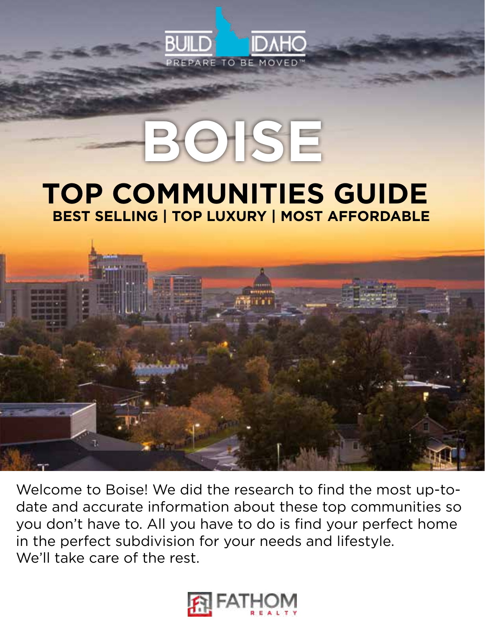

# **BOISE**

## **TOP COMMUNITIES GUIDE BEST SELLING | TOP LUXURY | MOST AFFORDABLE**



Welcome to Boise! We did the research to find the most up-todate and accurate information about these top communities so you don't have to. All you have to do is find your perfect home in the perfect subdivision for your needs and lifestyle. We'll take care of the rest.

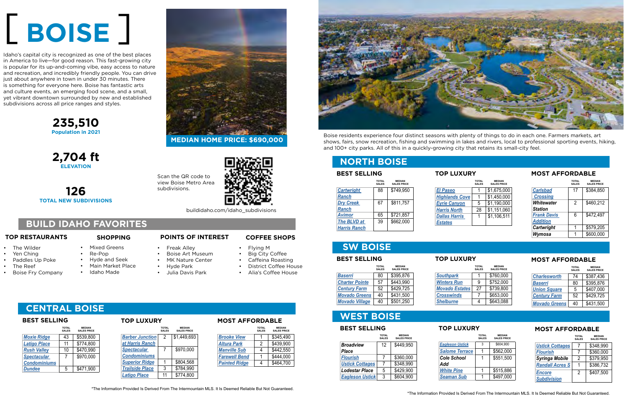**235,510 Population in 2021**

**2,704 ft ELEVATION**

**126 TOTAL NEW SUBDIVISIONS**



## [ **BOISE** ]

#### **TOP RESTAURANTS SHOPPING POINTS OF INTEREST**

Scan the QR code to view Boise Metro Area subdivisions.



### **SW BOISE**

|                       | <b>TOTAL</b><br><b>SALES</b> | <b>MEDIAN</b><br><b>SALES PRICE</b> |                       | <b>TOTAL</b><br><b>SALES</b> |
|-----------------------|------------------------------|-------------------------------------|-----------------------|------------------------------|
| <b>Baserri</b>        | 80                           | \$395,876                           | <b>Southpark</b>      |                              |
| <b>Charter Pointe</b> | 57                           | \$443,990                           | <b>Winters Run</b>    | 9                            |
| <b>Century Farm</b>   | 52                           | \$429,725                           | <b>Movado Estates</b> | 27                           |
| <b>Movado Greens</b>  | 40                           | \$431,500                           | <b>Crosswinds</b>     |                              |
| <b>Movado Village</b> | 40                           | \$501,250                           | <b>Shelburne</b>      |                              |

|                      | <b>TOTAL</b><br><b>SALES</b> | <b>MEDIAN</b><br><b>SALES PRICE</b> |
|----------------------|------------------------------|-------------------------------------|
| <b>Charlesworth</b>  | 74                           | \$387,436                           |
| <b>Baserri</b>       | 80                           | \$395,876                           |
| <b>Union Square</b>  | 5                            | \$407,000                           |
| <b>Century Farm</b>  | 52                           | \$429,725                           |
| <b>Movado Greens</b> | 40                           | \$431,500                           |

#### **WEST BOISE**

#### **NORTH BOISE**

- The Wilder
- Yen Ching
- Paddles Up Poke
- The Reef
- Boise Fry Company

|                       | <b>TOTAL</b><br><b>SALES</b> | <b>MEDIAN</b><br><b>SALES PRICE</b> |
|-----------------------|------------------------------|-------------------------------------|
| <b>El Paseo</b>       |                              | \$1,675,000                         |
| <b>Highlands Cove</b> |                              | \$1,450,000                         |
| <b>Eyrie Canyon</b>   | 5                            | \$1,190,000                         |
| <b>Harris North</b>   | 28                           | \$1,151,060                         |
| <b>Dallas Harris</b>  | 1                            | \$1,106,511                         |
| <b>Estates</b>        |                              |                                     |

| <b>BEST SELLING</b> |                              |                                     |  |
|---------------------|------------------------------|-------------------------------------|--|
|                     | <b>TOTAL</b><br><b>SALES</b> | <b>MEDIAN</b><br><b>SALES PRICE</b> |  |
| <b>Cartwright</b>   | 88                           | \$749,950                           |  |
| <b>Ranch</b>        |                              |                                     |  |
| <b>Dry Creek</b>    | 67                           | \$811,757                           |  |
| <b>Ranch</b>        |                              |                                     |  |
| <b>Avimor</b>       | 65                           | \$721,857                           |  |
| <b>The BLVD at</b>  | 39                           | \$662,000                           |  |
| <b>Harris Ranch</b> |                              |                                     |  |

|                    | <b>TOTAL</b><br><b>SALES</b> | <b>MEDIAN</b><br><b>SALES PRICE</b> |
|--------------------|------------------------------|-------------------------------------|
| <b>Carlsbad</b>    | 17                           | \$384,850                           |
| <b>Crossing</b>    |                              |                                     |
| Whitewater         | 2                            | \$460,212                           |
| <b>Station</b>     |                              |                                     |
| <b>Frank Davis</b> | 6                            | \$472,497                           |
| <b>Addition</b>    |                              |                                     |
| Cartwright         | 1                            | \$579,205                           |
| Wymosa             | 1                            | \$600,000                           |

### **TOP LUXURY**

#### **TOP LUXURY**

#### **MOST AFFORDABLE**

#### **MOST AFFORDABLE**

**MEDIAN HOME PRICE: \$690,000**

\*The Information Provided Is Derived From The Intermountain MLS. It Is Deemed Reliable But Not Guaranteed.

• Mixed Greens • Re-Pop

> • Hyde and Seek • Main Market Place

• Idaho Made

- Freak Alley
- Boise Art Museum
- MK Nature Center
- Hyde Park
- Julia Davis Park

#### **COFFEE SHOPS**

- Flying M
- **Big City Coffee**
- Caffeina Roasting
- District Coffee House
- Alia's Coffee House



## **CENTRAL BOISE**

| <b>TOTAL</b><br><b>SALES</b> | <b>MEDIAN</b><br><b>SALES PRICE</b> |
|------------------------------|-------------------------------------|
| 43                           | \$539,800                           |
| 11                           | \$774,800                           |
| 10                           | \$470,990                           |
| 7                            | \$970,000                           |
|                              |                                     |
| 5                            | \$471,900                           |
|                              |                                     |

|                        | <b>TOTAL</b><br><b>SALES</b> | <b>MEDIAN</b><br><b>SALES PRICE</b> |
|------------------------|------------------------------|-------------------------------------|
| <u>Barber Junction</u> | 2                            | \$1,449,693                         |
| at Harris Ranch        |                              |                                     |
| <b>Spectacular</b>     | 7                            | \$970,000                           |
| <b>Condominiums</b>    |                              |                                     |
| <b>Superior Ridge</b>  | 1                            | \$804,568                           |
| <b>Trailside Place</b> | 3                            | \$784,990                           |
| <b>Latigo Place</b>    | 11                           | \$774,800                           |

|                      | <b>TOTAL</b><br><b>SALES</b> | <b>MEDIAN</b><br><b>SALES PRICE</b> |
|----------------------|------------------------------|-------------------------------------|
| <b>Brooke View</b>   |                              | \$345,490                           |
| <b>Altura Park</b>   | 2                            | \$439,900                           |
| <b>Manville Sub</b>  | 4                            | \$442,550                           |
| <b>Farewell Bend</b> |                              | \$444,000                           |
| <b>Painted Ridge</b> |                              | \$464,700                           |
|                      |                              |                                     |

#### **BEST SELLING TOP LUXURY MOST AFFORDABLE**

Idaho's capital city is recognized as one of the best places in America to live—for good reason. This fast-growing city is popular for its up-and-coming vibe, easy access to nature and recreation, and incredibly friendly people. You can drive just about anywhere in town in under 30 minutes. There is something for everyone here. Boise has fantastic arts and culture events, an emerging food scene, and a small, yet vibrant downtown surrounded by new and established subdivisions across all price ranges and styles.

| <b>BEST SELLING</b>              |                              |                                     |  |
|----------------------------------|------------------------------|-------------------------------------|--|
|                                  | <b>TOTAL</b><br><b>SALES</b> | <b>MEDIAN</b><br><b>SALES PRICE</b> |  |
| <b>Broadview</b><br><b>Place</b> | 12                           | \$449,950                           |  |
| <b>Flourish</b>                  | 7                            | \$360,000                           |  |
| <b>Ustick Cottages</b>           | 7                            | \$348,990                           |  |
| <b>Lodestar Place</b>            | 5                            | \$429,900                           |  |
| <b>Eagleson Ustick</b>           | 3                            | \$604,900                           |  |

|                        | <b>TOTAL</b><br><b>SALES</b> | <b>MEDIAN</b><br><b>SALES PRICE</b> |
|------------------------|------------------------------|-------------------------------------|
| <b>Eagleson Ustick</b> | 3                            | \$604.900                           |
| <b>Salome Terrace</b>  | 1                            | \$562,000                           |
| Cole School            | 1                            | \$551,500                           |
| Add                    |                              |                                     |
| <b>White Pine</b>      | 1                            | \$515,886                           |
| <b>Seaman Sub</b>      | 1                            | \$497,000                           |

|                                     | <b>TOTAL</b><br><b>SALES</b> | <b>MEDIAN</b><br><b>SALES PRICE</b> |
|-------------------------------------|------------------------------|-------------------------------------|
| <b>Ustick Cottages</b>              |                              | \$348,990                           |
| <b>Flourish</b>                     |                              | \$360,000                           |
| <b>Syringa Mobile</b>               | 2                            | \$379,950                           |
| <b>Randall Acres S</b>              |                              | \$386,732                           |
| <b>Encore</b><br><b>Subdivision</b> | 2                            | \$407,500                           |

#### **BEST SELLING TOP LUXURY MOST AFFORDABLE**

#### **BUILD IDAHO FAVORITES**

Boise residents experience four distinct seasons with plenty of things to do in each one. Farmers markets, art shows, fairs, snow recreation, fishing and swimming in lakes and rivers, local to professional sporting events, hiking, and 100+ city parks. All of this in a quickly-growing city that retains its small-city feel.

buildidaho.com/idaho\_subdivisions